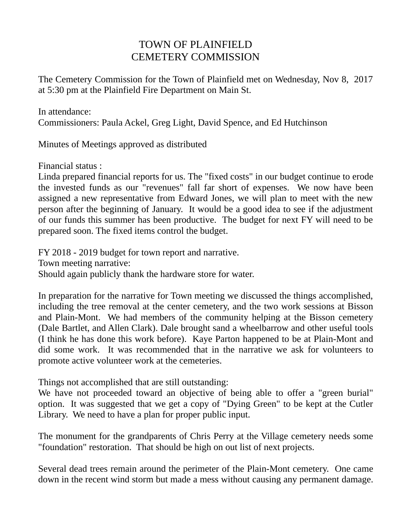## TOWN OF PLAINFIELD CEMETERY COMMISSION

The Cemetery Commission for the Town of Plainfield met on Wednesday, Nov 8, 2017 at 5:30 pm at the Plainfield Fire Department on Main St.

In attendance:

Commissioners: Paula Ackel, Greg Light, David Spence, and Ed Hutchinson

Minutes of Meetings approved as distributed

Financial status :

Linda prepared financial reports for us. The "fixed costs" in our budget continue to erode the invested funds as our "revenues" fall far short of expenses. We now have been assigned a new representative from Edward Jones, we will plan to meet with the new person after the beginning of January. It would be a good idea to see if the adjustment of our funds this summer has been productive. The budget for next FY will need to be prepared soon. The fixed items control the budget.

FY 2018 - 2019 budget for town report and narrative. Town meeting narrative: Should again publicly thank the hardware store for water.

In preparation for the narrative for Town meeting we discussed the things accomplished, including the tree removal at the center cemetery, and the two work sessions at Bisson and Plain-Mont. We had members of the community helping at the Bisson cemetery (Dale Bartlet, and Allen Clark). Dale brought sand a wheelbarrow and other useful tools (I think he has done this work before). Kaye Parton happened to be at Plain-Mont and did some work. It was recommended that in the narrative we ask for volunteers to promote active volunteer work at the cemeteries.

Things not accomplished that are still outstanding:

We have not proceeded toward an objective of being able to offer a "green burial" option. It was suggested that we get a copy of "Dying Green" to be kept at the Cutler Library. We need to have a plan for proper public input.

The monument for the grandparents of Chris Perry at the Village cemetery needs some "foundation" restoration. That should be high on out list of next projects.

Several dead trees remain around the perimeter of the Plain-Mont cemetery. One came down in the recent wind storm but made a mess without causing any permanent damage.